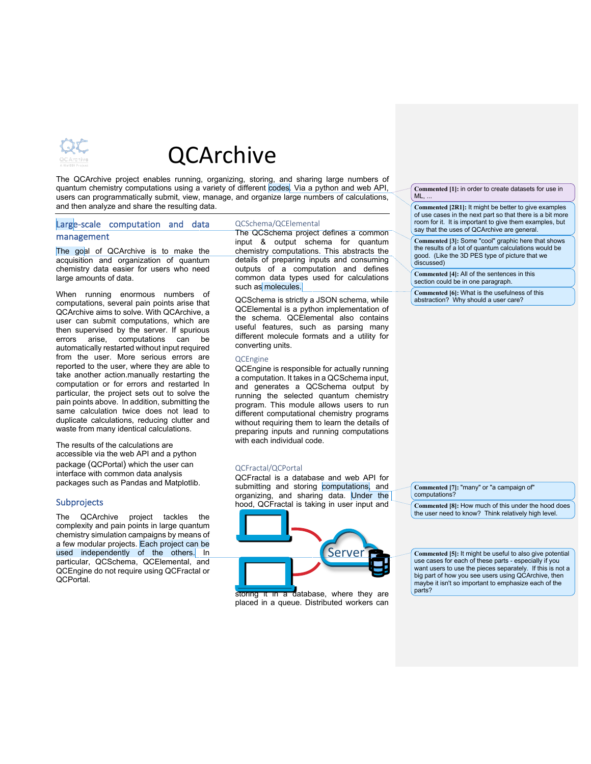

# QCArchive

The QCArchive project enables running, organizing, storing, and sharing large numbers of quantum chemistry computations using a variety of different codes. Via a python and web API, users can programmatically submit, view, manage, and organize large numbers of calculations, and then analyze and share the resulting data.

## Large-scale computation and data management

The goal of QCArchive is to make the acquisition and organization of quantum chemistry data easier for users who need large amounts of data.

When running enormous numbers of computations, several pain points arise that QCArchive aims to solve. With QCArchive, a user can submit computations, which are then supervised by the server. If spurious errors arise, computations can be automatically restarted without input required from the user. More serious errors are reported to the user, where they are able to take another action.manually restarting the computation or for errors and restarted In particular, the project sets out to solve the pain points above. In addition, submitting the same calculation twice does not lead to duplicate calculations, reducing clutter and waste from many identical calculations.

The results of the calculations are accessible via the web API and a python package (QCPortal) which the user can interface with common data analysis packages such as Pandas and Matplotlib.

## **Subprojects**

The QCArchive project tackles the complexity and pain points in large quantum chemistry simulation campaigns by means of a few modular projects. Each project can be used independently of the others. In particular, QCSchema, QCElemental, and QCEngine do not require using QCFractal or QCPortal.

### QCSchema/QCElemental

The QCSchema project defines a common input & output schema for quantum chemistry computations. This abstracts the details of preparing inputs and consuming outputs of a computation and defines common data types used for calculations such as molecules.

QCSchema is strictly a JSON schema, while QCElemental is a python implementation of the schema. QCElemental also contains useful features, such as parsing many different molecule formats and a utility for converting units.

#### QCEngine

QCEngine is responsible for actually running a computation. It takes in a QCSchema input, and generates a QCSchema output by running the selected quantum chemistry program. This module allows users to run different computational chemistry programs without requiring them to learn the details of preparing inputs and running computations with each individual code.

#### QCFractal/QCPortal

QCFractal is a database and web API for submitting and storing computations, and organizing, and sharing data. Under the hood, QCFractal is taking in user input and



storing it in a database, where they are placed in a queue. Distributed workers can

**Commented [1]:** in order to create datasets for use in  $ML$ , ...

**Commented [2R1]:** It might be better to give examples of use cases in the next part so that there is a bit more room for it. It is important to give them examples, but say that the uses of QCArchive are general.

**Commented [3]:** Some "cool" graphic here that shows the results of a lot of quantum calculations would be good. (Like the 3D PES type of picture that we discussed)

**Commented [4]:** All of the sentences in this section could be in one paragraph.

**Commented [6]:** What is the usefulness of this abstraction? Why should a user care?

**Commented [7]:** "many" or "a campaign of" computations?

**Commented [8]:** How much of this under the hood does the user need to know? Think relatively high level.

**Commented [5]:** It might be useful to also give potential use cases for each of these parts - especially if you want users to use the pieces separately. If this is not a big part of how you see users using QCArchive, then maybe it isn't so important to emphasize each of the parts?